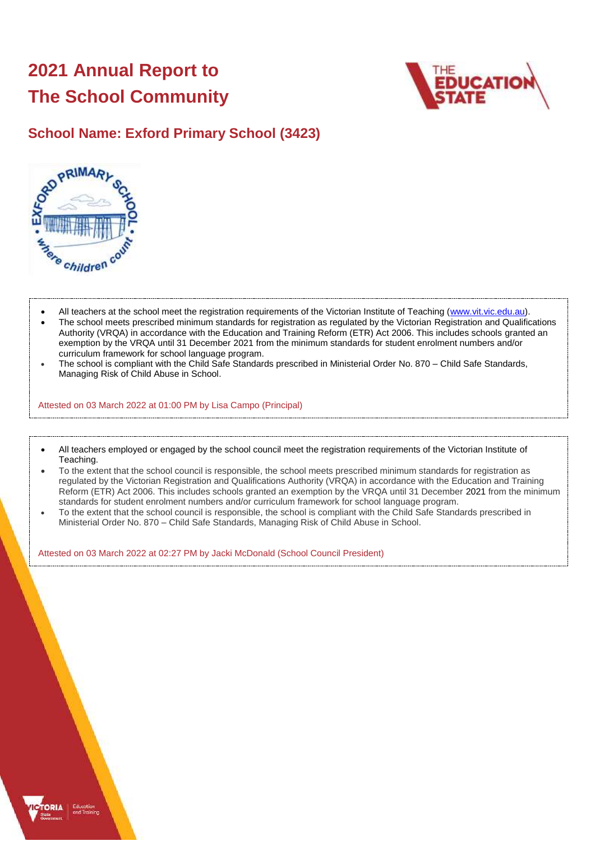# **2021 Annual Report to The School Community**



### **School Name: Exford Primary School (3423)**



- All teachers at the school meet the registration requirements of the Victorian Institute of Teaching [\(www.vit.vic.edu.au\)](https://www.vit.vic.edu.au/).
- The school meets prescribed minimum standards for registration as regulated by the Victorian Registration and Qualifications Authority (VRQA) in accordance with the Education and Training Reform (ETR) Act 2006. This includes schools granted an exemption by the VRQA until 31 December 2021 from the minimum standards for student enrolment numbers and/or curriculum framework for school language program.
- The school is compliant with the Child Safe Standards prescribed in Ministerial Order No. 870 Child Safe Standards, Managing Risk of Child Abuse in School.

Attested on 03 March 2022 at 01:00 PM by Lisa Campo (Principal)

- All teachers employed or engaged by the school council meet the registration requirements of the Victorian Institute of Teaching.
- To the extent that the school council is responsible, the school meets prescribed minimum standards for registration as regulated by the Victorian Registration and Qualifications Authority (VRQA) in accordance with the Education and Training Reform (ETR) Act 2006. This includes schools granted an exemption by the VRQA until 31 December 2021 from the minimum standards for student enrolment numbers and/or curriculum framework for school language program.
- To the extent that the school council is responsible, the school is compliant with the Child Safe Standards prescribed in Ministerial Order No. 870 – Child Safe Standards, Managing Risk of Child Abuse in School.

Attested on 03 March 2022 at 02:27 PM by Jacki McDonald (School Council President)

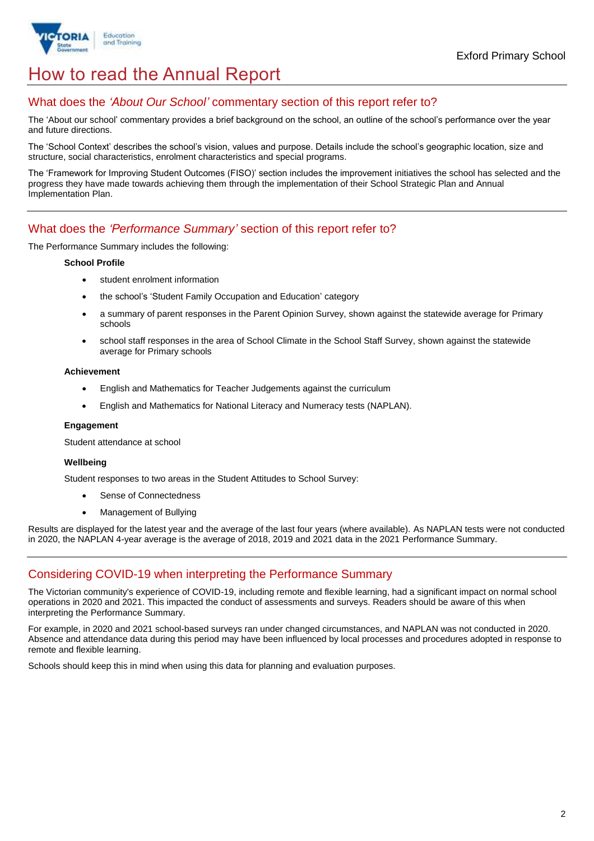

## How to read the Annual Report

### What does the *'About Our School'* commentary section of this report refer to?

The 'About our school' commentary provides a brief background on the school, an outline of the school's performance over the year and future directions.

The 'School Context' describes the school's vision, values and purpose. Details include the school's geographic location, size and structure, social characteristics, enrolment characteristics and special programs.

The 'Framework for Improving Student Outcomes (FISO)' section includes the improvement initiatives the school has selected and the progress they have made towards achieving them through the implementation of their School Strategic Plan and Annual Implementation Plan.

### What does the *'Performance Summary'* section of this report refer to?

The Performance Summary includes the following:

#### **School Profile**

- student enrolment information
- the school's 'Student Family Occupation and Education' category
- a summary of parent responses in the Parent Opinion Survey, shown against the statewide average for Primary schools
- school staff responses in the area of School Climate in the School Staff Survey, shown against the statewide average for Primary schools

#### **Achievement**

- English and Mathematics for Teacher Judgements against the curriculum
- English and Mathematics for National Literacy and Numeracy tests (NAPLAN).

#### **Engagement**

Student attendance at school

#### **Wellbeing**

Student responses to two areas in the Student Attitudes to School Survey:

- Sense of Connectedness
- Management of Bullying

Results are displayed for the latest year and the average of the last four years (where available). As NAPLAN tests were not conducted in 2020, the NAPLAN 4-year average is the average of 2018, 2019 and 2021 data in the 2021 Performance Summary.

### Considering COVID-19 when interpreting the Performance Summary

The Victorian community's experience of COVID-19, including remote and flexible learning, had a significant impact on normal school operations in 2020 and 2021. This impacted the conduct of assessments and surveys. Readers should be aware of this when interpreting the Performance Summary.

For example, in 2020 and 2021 school-based surveys ran under changed circumstances, and NAPLAN was not conducted in 2020. Absence and attendance data during this period may have been influenced by local processes and procedures adopted in response to remote and flexible learning.

Schools should keep this in mind when using this data for planning and evaluation purposes.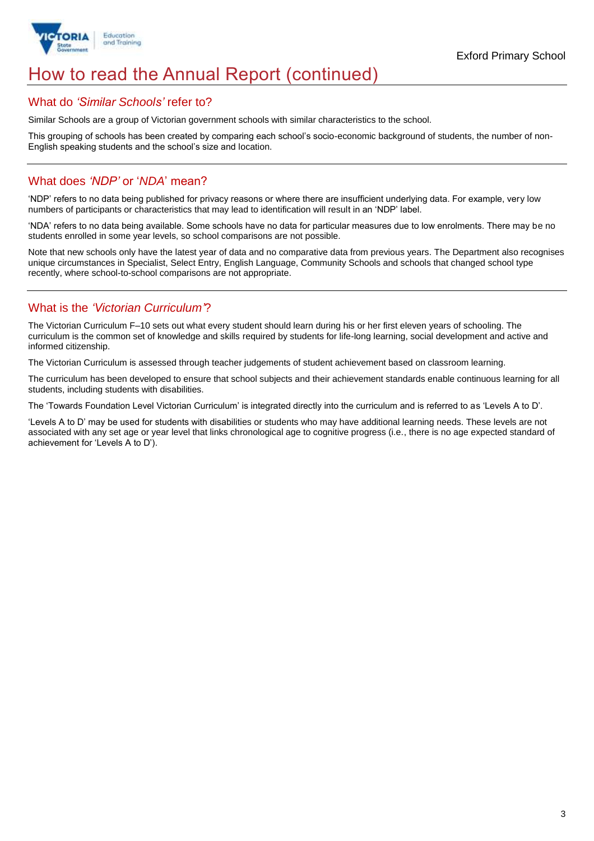

## How to read the Annual Report (continued)

### What do *'Similar Schools'* refer to?

Similar Schools are a group of Victorian government schools with similar characteristics to the school.

This grouping of schools has been created by comparing each school's socio-economic background of students, the number of non-English speaking students and the school's size and location.

### What does *'NDP'* or '*NDA*' mean?

'NDP' refers to no data being published for privacy reasons or where there are insufficient underlying data. For example, very low numbers of participants or characteristics that may lead to identification will result in an 'NDP' label.

'NDA' refers to no data being available. Some schools have no data for particular measures due to low enrolments. There may be no students enrolled in some year levels, so school comparisons are not possible.

Note that new schools only have the latest year of data and no comparative data from previous years. The Department also recognises unique circumstances in Specialist, Select Entry, English Language, Community Schools and schools that changed school type recently, where school-to-school comparisons are not appropriate.

### What is the *'Victorian Curriculum'*?

The Victorian Curriculum F–10 sets out what every student should learn during his or her first eleven years of schooling. The curriculum is the common set of knowledge and skills required by students for life-long learning, social development and active and informed citizenship.

The Victorian Curriculum is assessed through teacher judgements of student achievement based on classroom learning.

The curriculum has been developed to ensure that school subjects and their achievement standards enable continuous learning for all students, including students with disabilities.

The 'Towards Foundation Level Victorian Curriculum' is integrated directly into the curriculum and is referred to as 'Levels A to D'.

'Levels A to D' may be used for students with disabilities or students who may have additional learning needs. These levels are not associated with any set age or year level that links chronological age to cognitive progress (i.e., there is no age expected standard of achievement for 'Levels A to D').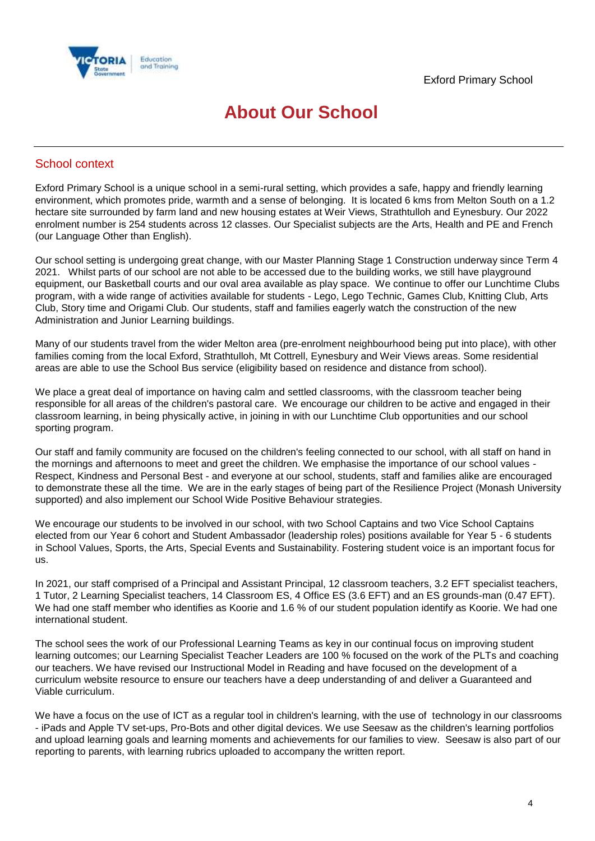

## **About Our School**

### School context

Exford Primary School is a unique school in a semi-rural setting, which provides a safe, happy and friendly learning environment, which promotes pride, warmth and a sense of belonging. It is located 6 kms from Melton South on a 1.2 hectare site surrounded by farm land and new housing estates at Weir Views, Strathtulloh and Eynesbury. Our 2022 enrolment number is 254 students across 12 classes. Our Specialist subjects are the Arts, Health and PE and French (our Language Other than English).

Our school setting is undergoing great change, with our Master Planning Stage 1 Construction underway since Term 4 2021. Whilst parts of our school are not able to be accessed due to the building works, we still have playground equipment, our Basketball courts and our oval area available as play space. We continue to offer our Lunchtime Clubs program, with a wide range of activities available for students - Lego, Lego Technic, Games Club, Knitting Club, Arts Club, Story time and Origami Club. Our students, staff and families eagerly watch the construction of the new Administration and Junior Learning buildings.

Many of our students travel from the wider Melton area (pre-enrolment neighbourhood being put into place), with other families coming from the local Exford, Strathtulloh, Mt Cottrell, Eynesbury and Weir Views areas. Some residential areas are able to use the School Bus service (eligibility based on residence and distance from school).

We place a great deal of importance on having calm and settled classrooms, with the classroom teacher being responsible for all areas of the children's pastoral care. We encourage our children to be active and engaged in their classroom learning, in being physically active, in joining in with our Lunchtime Club opportunities and our school sporting program.

Our staff and family community are focused on the children's feeling connected to our school, with all staff on hand in the mornings and afternoons to meet and greet the children. We emphasise the importance of our school values - Respect, Kindness and Personal Best - and everyone at our school, students, staff and families alike are encouraged to demonstrate these all the time. We are in the early stages of being part of the Resilience Project (Monash University supported) and also implement our School Wide Positive Behaviour strategies.

We encourage our students to be involved in our school, with two School Captains and two Vice School Captains elected from our Year 6 cohort and Student Ambassador (leadership roles) positions available for Year 5 - 6 students in School Values, Sports, the Arts, Special Events and Sustainability. Fostering student voice is an important focus for us.

In 2021, our staff comprised of a Principal and Assistant Principal, 12 classroom teachers, 3.2 EFT specialist teachers, 1 Tutor, 2 Learning Specialist teachers, 14 Classroom ES, 4 Office ES (3.6 EFT) and an ES grounds-man (0.47 EFT). We had one staff member who identifies as Koorie and 1.6 % of our student population identify as Koorie. We had one international student.

The school sees the work of our Professional Learning Teams as key in our continual focus on improving student learning outcomes; our Learning Specialist Teacher Leaders are 100 % focused on the work of the PLTs and coaching our teachers. We have revised our Instructional Model in Reading and have focused on the development of a curriculum website resource to ensure our teachers have a deep understanding of and deliver a Guaranteed and Viable curriculum.

We have a focus on the use of ICT as a regular tool in children's learning, with the use of technology in our classrooms - iPads and Apple TV set-ups, Pro-Bots and other digital devices. We use Seesaw as the children's learning portfolios and upload learning goals and learning moments and achievements for our families to view. Seesaw is also part of our reporting to parents, with learning rubrics uploaded to accompany the written report.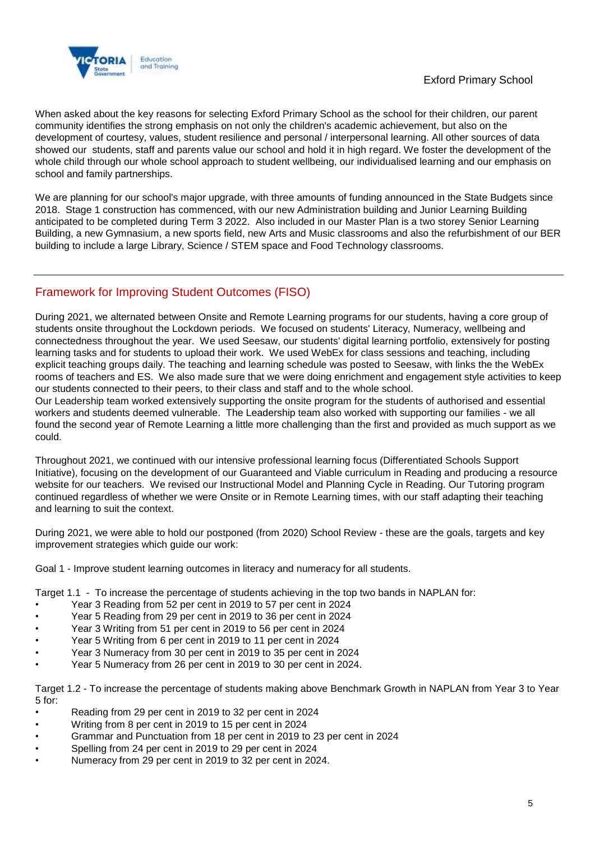

When asked about the key reasons for selecting Exford Primary School as the school for their children, our parent community identifies the strong emphasis on not only the children's academic achievement, but also on the development of courtesy, values, student resilience and personal / interpersonal learning. All other sources of data showed our students, staff and parents value our school and hold it in high regard. We foster the development of the whole child through our whole school approach to student wellbeing, our individualised learning and our emphasis on school and family partnerships.

We are planning for our school's major upgrade, with three amounts of funding announced in the State Budgets since 2018. Stage 1 construction has commenced, with our new Administration building and Junior Learning Building anticipated to be completed during Term 3 2022. Also included in our Master Plan is a two storey Senior Learning Building, a new Gymnasium, a new sports field, new Arts and Music classrooms and also the refurbishment of our BER building to include a large Library, Science / STEM space and Food Technology classrooms.

### Framework for Improving Student Outcomes (FISO)

During 2021, we alternated between Onsite and Remote Learning programs for our students, having a core group of students onsite throughout the Lockdown periods. We focused on students' Literacy, Numeracy, wellbeing and connectedness throughout the year. We used Seesaw, our students' digital learning portfolio, extensively for posting learning tasks and for students to upload their work. We used WebEx for class sessions and teaching, including explicit teaching groups daily. The teaching and learning schedule was posted to Seesaw, with links the the WebEx rooms of teachers and ES. We also made sure that we were doing enrichment and engagement style activities to keep our students connected to their peers, to their class and staff and to the whole school.

Our Leadership team worked extensively supporting the onsite program for the students of authorised and essential workers and students deemed vulnerable. The Leadership team also worked with supporting our families - we all found the second year of Remote Learning a little more challenging than the first and provided as much support as we could.

Throughout 2021, we continued with our intensive professional learning focus (Differentiated Schools Support Initiative), focusing on the development of our Guaranteed and Viable curriculum in Reading and producing a resource website for our teachers. We revised our Instructional Model and Planning Cycle in Reading. Our Tutoring program continued regardless of whether we were Onsite or in Remote Learning times, with our staff adapting their teaching and learning to suit the context.

During 2021, we were able to hold our postponed (from 2020) School Review - these are the goals, targets and key improvement strategies which guide our work:

Goal 1 - Improve student learning outcomes in literacy and numeracy for all students.

Target 1.1 - To increase the percentage of students achieving in the top two bands in NAPLAN for:

- Year 3 Reading from 52 per cent in 2019 to 57 per cent in 2024
- Year 5 Reading from 29 per cent in 2019 to 36 per cent in 2024
- Year 3 Writing from 51 per cent in 2019 to 56 per cent in 2024
- Year 5 Writing from 6 per cent in 2019 to 11 per cent in 2024
- Year 3 Numeracy from 30 per cent in 2019 to 35 per cent in 2024
- Year 5 Numeracy from 26 per cent in 2019 to 30 per cent in 2024.

Target 1.2 - To increase the percentage of students making above Benchmark Growth in NAPLAN from Year 3 to Year 5 for:

- Reading from 29 per cent in 2019 to 32 per cent in 2024
- Writing from 8 per cent in 2019 to 15 per cent in 2024
- Grammar and Punctuation from 18 per cent in 2019 to 23 per cent in 2024
- Spelling from 24 per cent in 2019 to 29 per cent in 2024
- Numeracy from 29 per cent in 2019 to 32 per cent in 2024.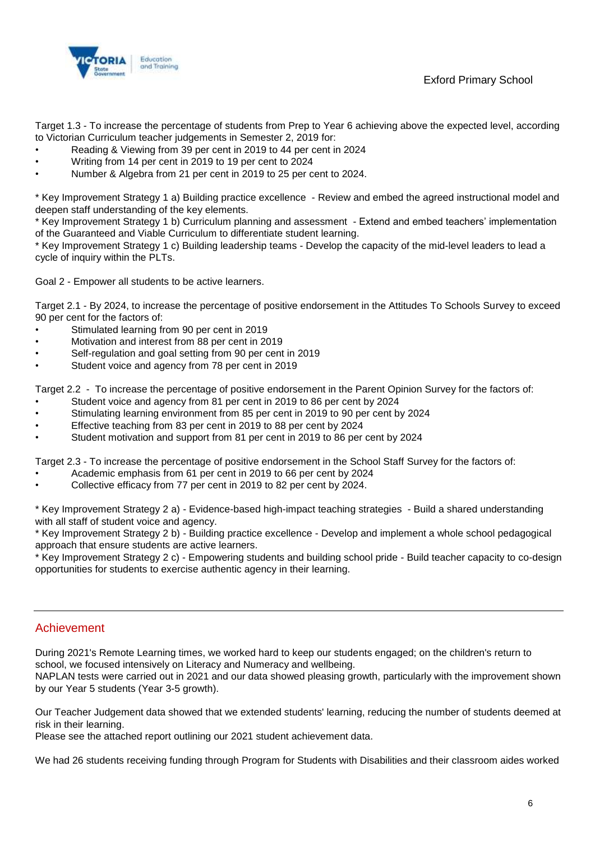Exford Primary School



Target 1.3 - To increase the percentage of students from Prep to Year 6 achieving above the expected level, according to Victorian Curriculum teacher judgements in Semester 2, 2019 for:

- Reading & Viewing from 39 per cent in 2019 to 44 per cent in 2024
- Writing from 14 per cent in 2019 to 19 per cent to 2024
- Number & Algebra from 21 per cent in 2019 to 25 per cent to 2024.

\* Key Improvement Strategy 1 a) Building practice excellence - Review and embed the agreed instructional model and deepen staff understanding of the key elements.

\* Key Improvement Strategy 1 b) Curriculum planning and assessment - Extend and embed teachers' implementation of the Guaranteed and Viable Curriculum to differentiate student learning.

\* Key Improvement Strategy 1 c) Building leadership teams - Develop the capacity of the mid-level leaders to lead a cycle of inquiry within the PLTs.

Goal 2 - Empower all students to be active learners.

Target 2.1 - By 2024, to increase the percentage of positive endorsement in the Attitudes To Schools Survey to exceed 90 per cent for the factors of:

- Stimulated learning from 90 per cent in 2019
- Motivation and interest from 88 per cent in 2019
- Self-regulation and goal setting from 90 per cent in 2019
- Student voice and agency from 78 per cent in 2019

Target 2.2 - To increase the percentage of positive endorsement in the Parent Opinion Survey for the factors of:

- Student voice and agency from 81 per cent in 2019 to 86 per cent by 2024
- Stimulating learning environment from 85 per cent in 2019 to 90 per cent by 2024
- Effective teaching from 83 per cent in 2019 to 88 per cent by 2024
- Student motivation and support from 81 per cent in 2019 to 86 per cent by 2024

Target 2.3 - To increase the percentage of positive endorsement in the School Staff Survey for the factors of:

- Academic emphasis from 61 per cent in 2019 to 66 per cent by 2024
- Collective efficacy from 77 per cent in 2019 to 82 per cent by 2024.

\* Key Improvement Strategy 2 a) - Evidence-based high-impact teaching strategies - Build a shared understanding with all staff of student voice and agency.

\* Key Improvement Strategy 2 b) - Building practice excellence - Develop and implement a whole school pedagogical approach that ensure students are active learners.

\* Key Improvement Strategy 2 c) - Empowering students and building school pride - Build teacher capacity to co-design opportunities for students to exercise authentic agency in their learning.

#### Achievement

During 2021's Remote Learning times, we worked hard to keep our students engaged; on the children's return to school, we focused intensively on Literacy and Numeracy and wellbeing.

NAPLAN tests were carried out in 2021 and our data showed pleasing growth, particularly with the improvement shown by our Year 5 students (Year 3-5 growth).

Our Teacher Judgement data showed that we extended students' learning, reducing the number of students deemed at risk in their learning.

Please see the attached report outlining our 2021 student achievement data.

We had 26 students receiving funding through Program for Students with Disabilities and their classroom aides worked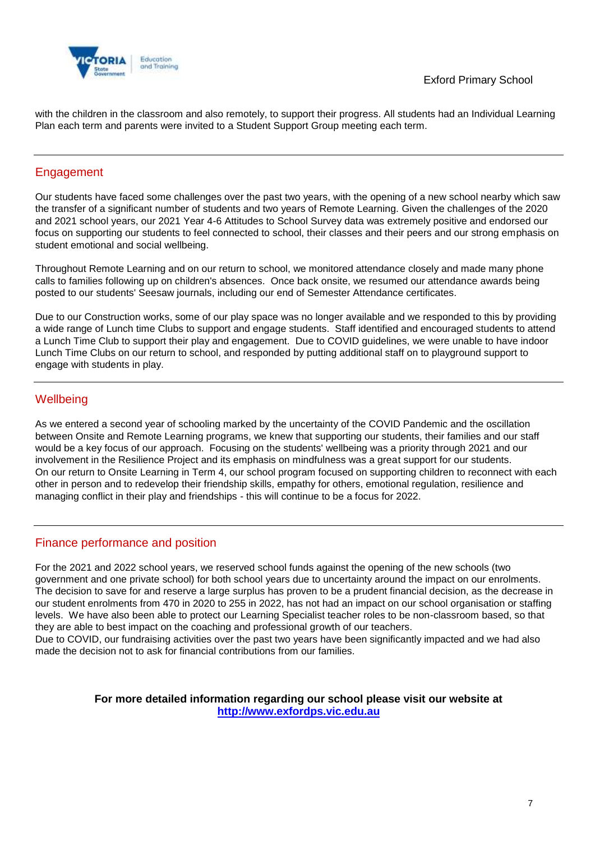

with the children in the classroom and also remotely, to support their progress. All students had an Individual Learning Plan each term and parents were invited to a Student Support Group meeting each term.

### **Engagement**

Our students have faced some challenges over the past two years, with the opening of a new school nearby which saw the transfer of a significant number of students and two years of Remote Learning. Given the challenges of the 2020 and 2021 school years, our 2021 Year 4-6 Attitudes to School Survey data was extremely positive and endorsed our focus on supporting our students to feel connected to school, their classes and their peers and our strong emphasis on student emotional and social wellbeing.

Throughout Remote Learning and on our return to school, we monitored attendance closely and made many phone calls to families following up on children's absences. Once back onsite, we resumed our attendance awards being posted to our students' Seesaw journals, including our end of Semester Attendance certificates.

Due to our Construction works, some of our play space was no longer available and we responded to this by providing a wide range of Lunch time Clubs to support and engage students. Staff identified and encouraged students to attend a Lunch Time Club to support their play and engagement. Due to COVID guidelines, we were unable to have indoor Lunch Time Clubs on our return to school, and responded by putting additional staff on to playground support to engage with students in play.

### **Wellbeing**

As we entered a second year of schooling marked by the uncertainty of the COVID Pandemic and the oscillation between Onsite and Remote Learning programs, we knew that supporting our students, their families and our staff would be a key focus of our approach. Focusing on the students' wellbeing was a priority through 2021 and our involvement in the Resilience Project and its emphasis on mindfulness was a great support for our students. On our return to Onsite Learning in Term 4, our school program focused on supporting children to reconnect with each other in person and to redevelop their friendship skills, empathy for others, emotional regulation, resilience and managing conflict in their play and friendships - this will continue to be a focus for 2022.

### Finance performance and position

For the 2021 and 2022 school years, we reserved school funds against the opening of the new schools (two government and one private school) for both school years due to uncertainty around the impact on our enrolments. The decision to save for and reserve a large surplus has proven to be a prudent financial decision, as the decrease in our student enrolments from 470 in 2020 to 255 in 2022, has not had an impact on our school organisation or staffing levels. We have also been able to protect our Learning Specialist teacher roles to be non-classroom based, so that they are able to best impact on the coaching and professional growth of our teachers.

Due to COVID, our fundraising activities over the past two years have been significantly impacted and we had also made the decision not to ask for financial contributions from our families.

### **For more detailed information regarding our school please visit our website at [http://www.exfordps.vic.edu.au](http://www.exfordps.vic.edu.au/)**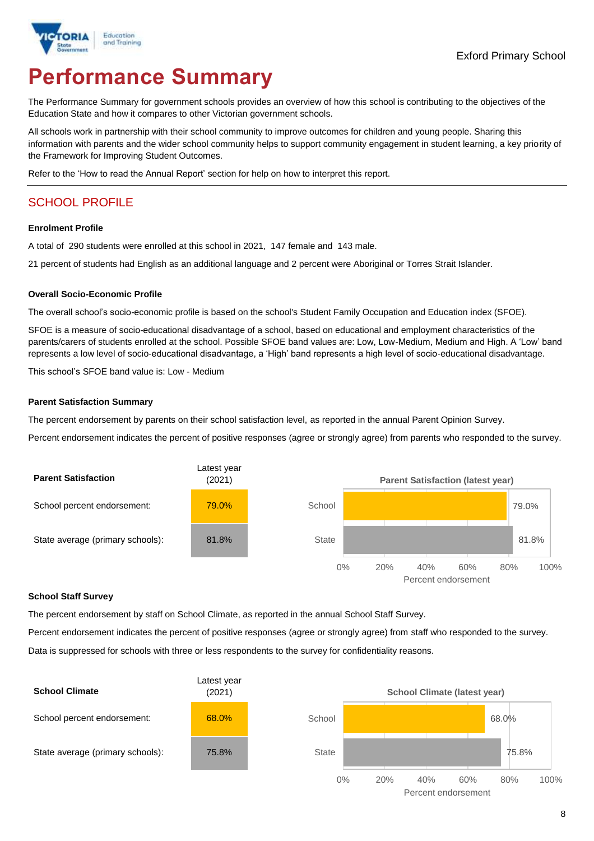

# **Performance Summary**

The Performance Summary for government schools provides an overview of how this school is contributing to the objectives of the Education State and how it compares to other Victorian government schools.

All schools work in partnership with their school community to improve outcomes for children and young people. Sharing this information with parents and the wider school community helps to support community engagement in student learning, a key priority of the Framework for Improving Student Outcomes.

Refer to the 'How to read the Annual Report' section for help on how to interpret this report.

### SCHOOL PROFILE

#### **Enrolment Profile**

A total of 290 students were enrolled at this school in 2021, 147 female and 143 male.

21 percent of students had English as an additional language and 2 percent were Aboriginal or Torres Strait Islander.

#### **Overall Socio-Economic Profile**

The overall school's socio-economic profile is based on the school's Student Family Occupation and Education index (SFOE).

SFOE is a measure of socio-educational disadvantage of a school, based on educational and employment characteristics of the parents/carers of students enrolled at the school. Possible SFOE band values are: Low, Low-Medium, Medium and High. A 'Low' band represents a low level of socio-educational disadvantage, a 'High' band represents a high level of socio-educational disadvantage.

This school's SFOE band value is: Low - Medium

#### **Parent Satisfaction Summary**

The percent endorsement by parents on their school satisfaction level, as reported in the annual Parent Opinion Survey.

Percent endorsement indicates the percent of positive responses (agree or strongly agree) from parents who responded to the survey.



#### **School Staff Survey**

The percent endorsement by staff on School Climate, as reported in the annual School Staff Survey.

Percent endorsement indicates the percent of positive responses (agree or strongly agree) from staff who responded to the survey. Data is suppressed for schools with three or less respondents to the survey for confidentiality reasons.

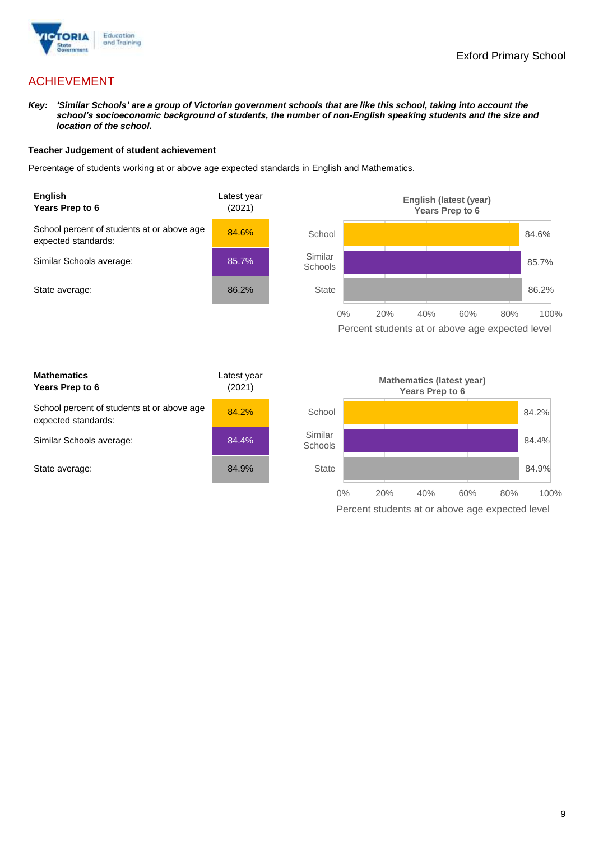

### ACHIEVEMENT

*Key: 'Similar Schools' are a group of Victorian government schools that are like this school, taking into account the school's socioeconomic background of students, the number of non-English speaking students and the size and location of the school.*

#### **Teacher Judgement of student achievement**

Percentage of students working at or above age expected standards in English and Mathematics.



Percent students at or above age expected level

| <b>Mathematics</b><br>Years Prep to 6                             | Latest year<br>(2021) |
|-------------------------------------------------------------------|-----------------------|
| School percent of students at or above age<br>expected standards: | 84.2%                 |
| Similar Schools average:                                          | 84.4%                 |
| State average:                                                    | 84.9%                 |

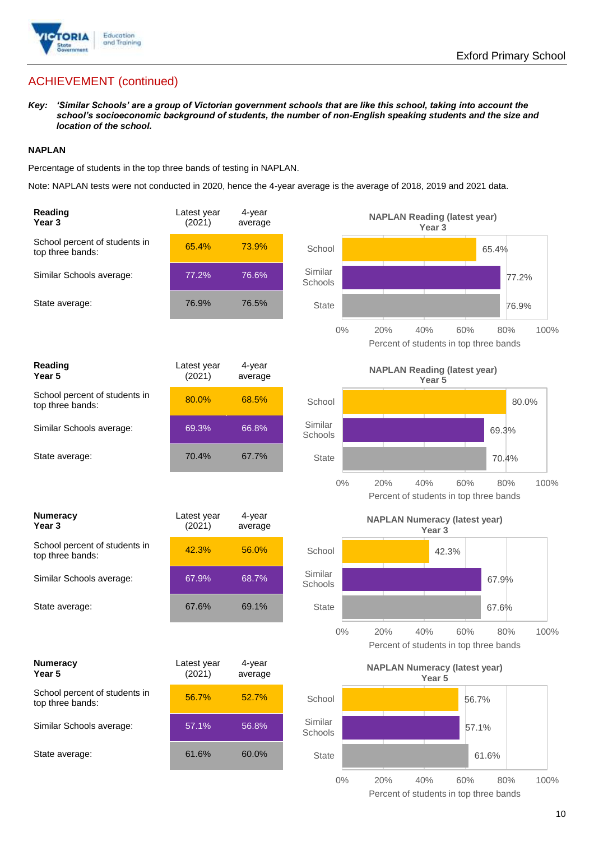

### ACHIEVEMENT (continued)

*Key: 'Similar Schools' are a group of Victorian government schools that are like this school, taking into account the school's socioeconomic background of students, the number of non-English speaking students and the size and location of the school.*

#### **NAPLAN**

Percentage of students in the top three bands of testing in NAPLAN.

Note: NAPLAN tests were not conducted in 2020, hence the 4-year average is the average of 2018, 2019 and 2021 data.

| Reading<br>Year <sub>3</sub>                      | Latest year<br>(2021) | 4-year<br>average |                    | <b>NAPLAN Reading (latest year)</b><br>Year <sub>3</sub>                   |
|---------------------------------------------------|-----------------------|-------------------|--------------------|----------------------------------------------------------------------------|
| School percent of students in<br>top three bands: | 65.4%                 | 73.9%             | School             | 65.4%                                                                      |
| Similar Schools average:                          | 77.2%                 | 76.6%             | Similar<br>Schools | 77.2%                                                                      |
| State average:                                    | 76.9%                 | 76.5%             | <b>State</b>       | 76.9%                                                                      |
|                                                   |                       |                   | $0\%$              | 60%<br>100%<br>20%<br>40%<br>80%<br>Percent of students in top three bands |
| Reading<br>Year 5                                 | Latest year<br>(2021) | 4-year<br>average |                    | <b>NAPLAN Reading (latest year)</b><br>Year 5                              |
| School percent of students in<br>top three bands: | 80.0%                 | 68.5%             | School             | 80.0%                                                                      |
| Similar Schools average:                          | 69.3%                 | 66.8%             | Similar<br>Schools | 69.3%                                                                      |
| State average:                                    | 70.4%                 | 67.7%             | <b>State</b>       | 70.4%                                                                      |
|                                                   |                       |                   | $0\%$              | 20%<br>40%<br>60%<br>80%<br>100%<br>Percent of students in top three bands |
|                                                   |                       |                   |                    |                                                                            |
| <b>Numeracy</b><br>Year <sub>3</sub>              | Latest year<br>(2021) | 4-year<br>average |                    | <b>NAPLAN Numeracy (latest year)</b><br>Year <sub>3</sub>                  |
| School percent of students in<br>top three bands: | 42.3%                 | 56.0%             | School             | 42.3%                                                                      |
| Similar Schools average:                          | 67.9%                 | 68.7%             | Similar<br>Schools | 67.9%                                                                      |
| State average:                                    | 67.6%                 | 69.1%             | <b>State</b>       | 67.6%                                                                      |
|                                                   |                       |                   | $0\%$              | 20%<br>40%<br>60%<br>80%<br>100%<br>Percent of students in top three bands |
| <b>Numeracy</b><br>Year 5                         | Latest year<br>(2021) | 4-year<br>average |                    | <b>NAPLAN Numeracy (latest year)</b><br>Year 5                             |
| School percent of students in<br>top three bands: | 56.7%                 | 52.7%             | School             | 56.7%                                                                      |
| Similar Schools average:                          | 57.1%                 | 56.8%             | Similar<br>Schools | 57.1%                                                                      |
| State average:                                    | 61.6%                 | 60.0%             | State              | 61.6%                                                                      |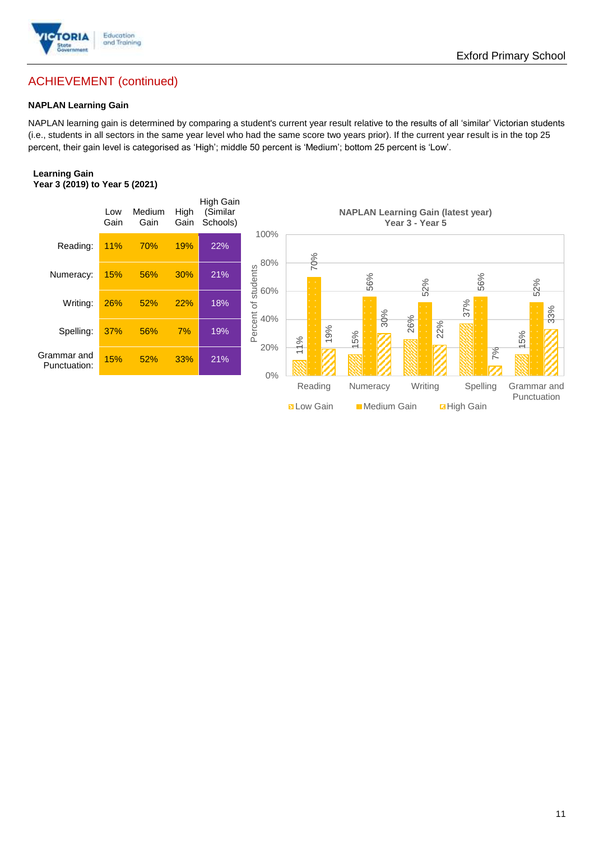

### ACHIEVEMENT (continued)

#### **NAPLAN Learning Gain**

NAPLAN learning gain is determined by comparing a student's current year result relative to the results of all 'similar' Victorian students (i.e., students in all sectors in the same year level who had the same score two years prior). If the current year result is in the top 25 percent, their gain level is categorised as 'High'; middle 50 percent is 'Medium'; bottom 25 percent is 'Low'.

#### **Learning Gain Year 3 (2019) to Year 5 (2021)**

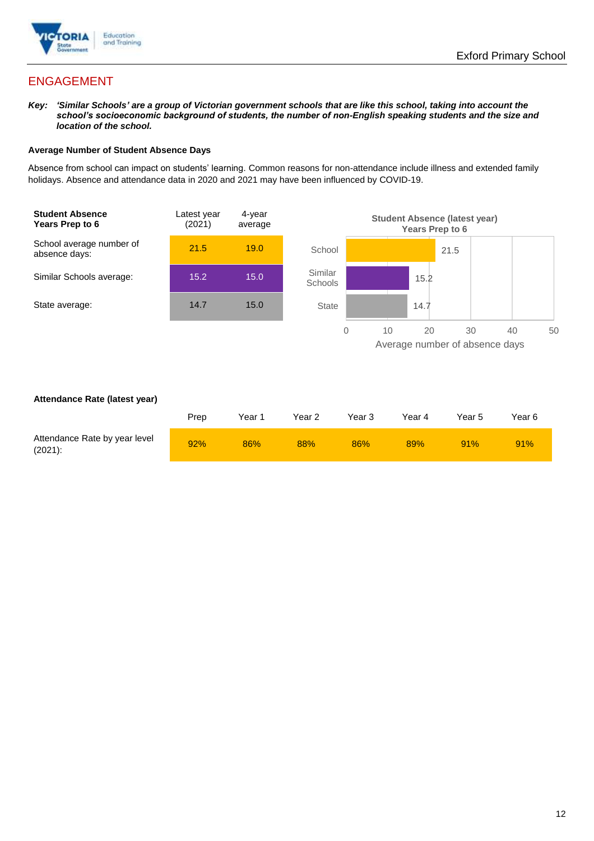

### ENGAGEMENT

*Key: 'Similar Schools' are a group of Victorian government schools that are like this school, taking into account the school's socioeconomic background of students, the number of non-English speaking students and the size and location of the school.*

#### **Average Number of Student Absence Days**

Absence from school can impact on students' learning. Common reasons for non-attendance include illness and extended family holidays. Absence and attendance data in 2020 and 2021 may have been influenced by COVID-19.



#### **Attendance Rate (latest year)**

|                                             | Prep | Year 1 | Year 2 | Year 3 | Year 4 | Year 5 | Year 6 |
|---------------------------------------------|------|--------|--------|--------|--------|--------|--------|
| Attendance Rate by year level<br>$(2021)$ : | 92%  | 86%    | 88%    | 86%    | 89%    | 91%    | 91%    |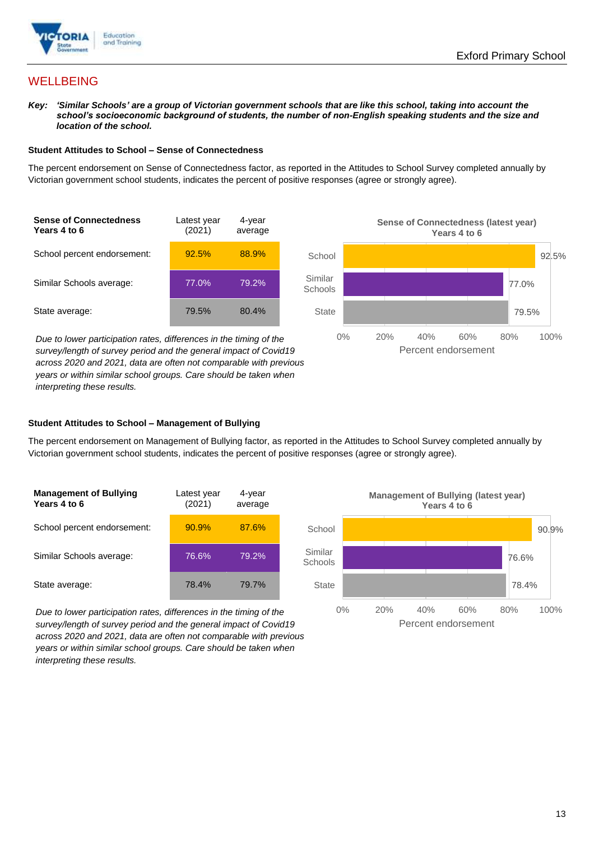

### **WELLBEING**

*Key: 'Similar Schools' are a group of Victorian government schools that are like this school, taking into account the school's socioeconomic background of students, the number of non-English speaking students and the size and location of the school.*

#### **Student Attitudes to School – Sense of Connectedness**

The percent endorsement on Sense of Connectedness factor, as reported in the Attitudes to School Survey completed annually by Victorian government school students, indicates the percent of positive responses (agree or strongly agree).



*Due to lower participation rates, differences in the timing of the survey/length of survey period and the general impact of Covid19 across 2020 and 2021, data are often not comparable with previous years or within similar school groups. Care should be taken when interpreting these results.*



#### **Student Attitudes to School – Management of Bullying**

The percent endorsement on Management of Bullying factor, as reported in the Attitudes to School Survey completed annually by Victorian government school students, indicates the percent of positive responses (agree or strongly agree).

| <b>Management of Bullying</b><br>Years 4 to 6 | Latest year<br>(2021) | 4-year<br>average |  |
|-----------------------------------------------|-----------------------|-------------------|--|
| School percent endorsement:                   | 90.9%                 | 87.6%             |  |
| Similar Schools average:                      | 76.6%                 | 79.2%             |  |
| State average:                                | 78.4%                 | 79.7%             |  |

*Due to lower participation rates, differences in the timing of the survey/length of survey period and the general impact of Covid19 across 2020 and 2021, data are often not comparable with previous years or within similar school groups. Care should be taken when interpreting these results.*

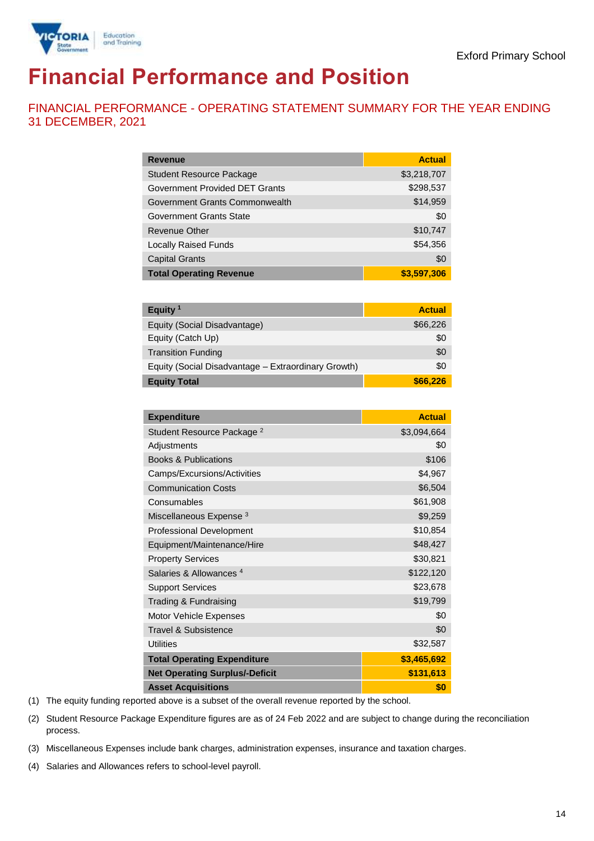

# **Financial Performance and Position**

FINANCIAL PERFORMANCE - OPERATING STATEMENT SUMMARY FOR THE YEAR ENDING 31 DECEMBER, 2021

| <b>Revenue</b>                  | <b>Actual</b> |
|---------------------------------|---------------|
| <b>Student Resource Package</b> | \$3,218,707   |
| Government Provided DET Grants  | \$298,537     |
| Government Grants Commonwealth  | \$14,959      |
| <b>Government Grants State</b>  | \$0           |
| <b>Revenue Other</b>            | \$10,747      |
| <b>Locally Raised Funds</b>     | \$54,356      |
| <b>Capital Grants</b>           | \$0           |
| <b>Total Operating Revenue</b>  | \$3,597,306   |

| Equity <sup>1</sup>                                 | <b>Actual</b> |
|-----------------------------------------------------|---------------|
| Equity (Social Disadvantage)                        | \$66,226      |
| Equity (Catch Up)                                   | \$0           |
| <b>Transition Funding</b>                           | \$0           |
| Equity (Social Disadvantage - Extraordinary Growth) | \$0           |
| <b>Equity Total</b>                                 | \$66,226      |

| <b>Expenditure</b>                    | <b>Actual</b> |
|---------------------------------------|---------------|
| Student Resource Package <sup>2</sup> | \$3,094,664   |
| Adjustments                           | \$0           |
| <b>Books &amp; Publications</b>       | \$106         |
| Camps/Excursions/Activities           | \$4,967       |
| <b>Communication Costs</b>            | \$6,504       |
| Consumables                           | \$61,908      |
| Miscellaneous Expense <sup>3</sup>    | \$9,259       |
| <b>Professional Development</b>       | \$10,854      |
| Equipment/Maintenance/Hire            | \$48,427      |
| <b>Property Services</b>              | \$30,821      |
| Salaries & Allowances <sup>4</sup>    | \$122,120     |
| <b>Support Services</b>               | \$23,678      |
| Trading & Fundraising                 | \$19,799      |
| Motor Vehicle Expenses                | \$0           |
| Travel & Subsistence                  | \$0           |
| <b>Utilities</b>                      | \$32,587      |
| <b>Total Operating Expenditure</b>    | \$3,465,692   |
| <b>Net Operating Surplus/-Deficit</b> | \$131,613     |
| <b>Asset Acquisitions</b>             | \$0           |

(1) The equity funding reported above is a subset of the overall revenue reported by the school.

(2) Student Resource Package Expenditure figures are as of 24 Feb 2022 and are subject to change during the reconciliation process.

(3) Miscellaneous Expenses include bank charges, administration expenses, insurance and taxation charges.

(4) Salaries and Allowances refers to school-level payroll.